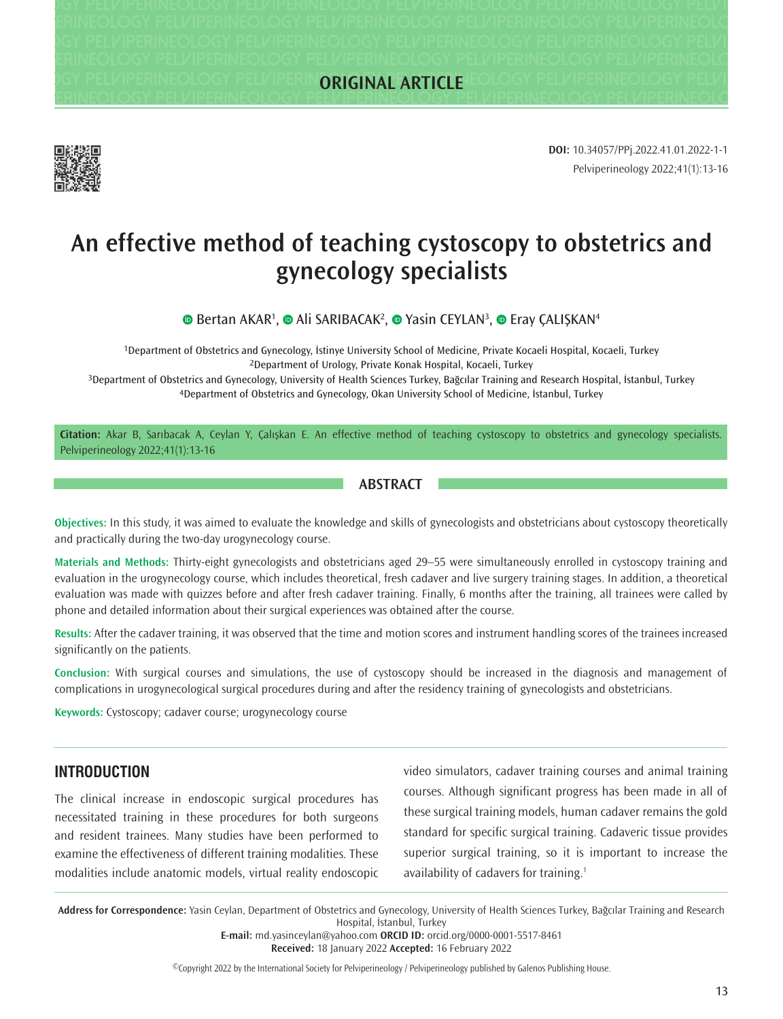**Pelviperineology Pelviperineology Pelviperineology Pelviperineology Pelviperineology Pelviperineology Pelviperineology Pelviperineology Pelviperineology Pelviperineology Pelviperineology Pelviperineology Pelviperineology Pelviperineology Pelviperineology Pelviperineology Pelviperineology Pelviperineology Pelviperineology Pelviperineology Pelviperineology Pelviperineology Pelviperineology Pelviperineology Pelviperineology Pelviperineology Pelviperineology Pelviperineology Pelviperineology Pelviperineology Pelviperineology Pelviperineology Pelviperineology Pelviperineology Pelviperineology Pelviperineology Pelviperineology Pelviperineology Pelviperineology Pelviperineology Pelviperineology Pelviperineology ORIGINAL ARTICLE**



Pelviperineology 2022;41(1):13-16 **DOI:** 10.34057/PPj.2022.41.01.2022-1-1

# **An effective method of teaching cystoscopy to obstetrics and gynecology specialists**

BertanAKAR<sup>1</sup>, **@** Ali SARIBACAK<sup>2</sup>, **@** Yasin CEYLAN<sup>3</sup>, **@** Eray ÇALIŞKAN<sup>4</sup>

1Department of Obstetrics and Gynecology, İstinye University School of Medicine, Private Kocaeli Hospital, Kocaeli, Turkey 2Department of Urology, Private Konak Hospital, Kocaeli, Turkey

3Department of Obstetrics and Gynecology, University of Health Sciences Turkey, Bağcılar Training and Research Hospital, İstanbul, Turkey 4Department of Obstetrics and Gynecology, Okan University School of Medicine, İstanbul, Turkey

**Citation:** Akar B, Sarıbacak A, Ceylan Y, Çalışkan E. An effective method of teaching cystoscopy to obstetrics and gynecology specialists. Pelviperineology 2022;41(1):13-16

#### **ABSTRACT**

**Objectives:** In this study, it was aimed to evaluate the knowledge and skills of gynecologists and obstetricians about cystoscopy theoretically and practically during the two-day urogynecology course.

**Materials and Methods:** Thirty-eight gynecologists and obstetricians aged 29–55 were simultaneously enrolled in cystoscopy training and evaluation in the urogynecology course, which includes theoretical, fresh cadaver and live surgery training stages. In addition, a theoretical evaluation was made with quizzes before and after fresh cadaver training. Finally, 6 months after the training, all trainees were called by phone and detailed information about their surgical experiences was obtained after the course.

**Results:** After the cadaver training, it was observed that the time and motion scores and instrument handling scores of the trainees increased significantly on the patients.

**Conclusion:** With surgical courses and simulations, the use of cystoscopy should be increased in the diagnosis and management of complications in urogynecological surgical procedures during and after the residency training of gynecologists and obstetricians.

**Keywords:** Cystoscopy; cadaver course; urogynecology course

#### **INTRODUCTION**

The clinical increase in endoscopic surgical procedures has necessitated training in these procedures for both surgeons and resident trainees. Many studies have been performed to examine the effectiveness of different training modalities. These modalities include anatomic models, virtual reality endoscopic

video simulators, cadaver training courses and animal training courses. Although significant progress has been made in all of these surgical training models, human cadaver remains the gold standard for specific surgical training. Cadaveric tissue provides superior surgical training, so it is important to increase the availability of cadavers for training.1

**Address for Correspondence:** Yasin Ceylan, Department of Obstetrics and Gynecology, University of Health Sciences Turkey, Bağcılar Training and Research Hospital, İstanbul, Turkey

**E-mail:** md.yasinceylan@yahoo.com **ORCID ID:** orcid.org/0000-0001-5517-8461

**Received:** 18 January 2022 **Accepted:** 16 February 2022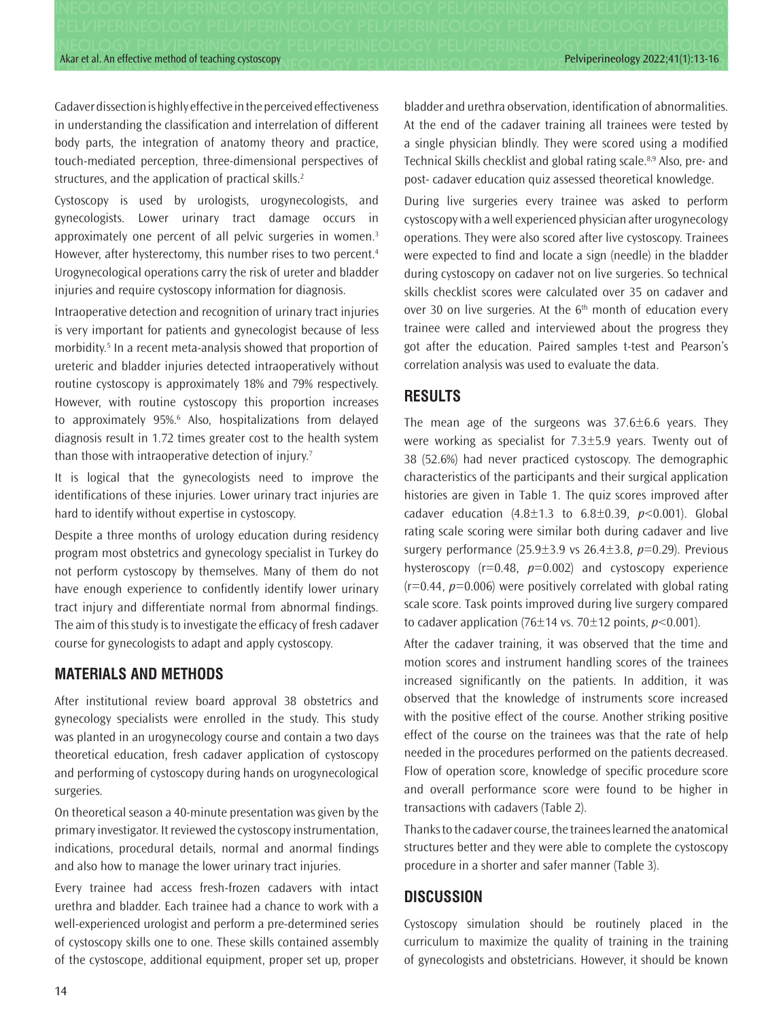Akar et al. An effective method of teaching cystoscopy Person News Delty Department Pelviperineology 2022;41(1):13-16

Cadaver dissection is highly effective in the perceived effectiveness in understanding the classification and interrelation of different body parts, the integration of anatomy theory and practice, touch-mediated perception, three-dimensional perspectives of structures, and the application of practical skills.<sup>2</sup>

Cystoscopy is used by urologists, urogynecologists, and gynecologists. Lower urinary tract damage occurs in approximately one percent of all pelvic surgeries in women.<sup>3</sup> However, after hysterectomy, this number rises to two percent.<sup>4</sup> Urogynecological operations carry the risk of ureter and bladder injuries and require cystoscopy information for diagnosis.

Intraoperative detection and recognition of urinary tract injuries is very important for patients and gynecologist because of less morbidity.<sup>5</sup> In a recent meta-analysis showed that proportion of ureteric and bladder injuries detected intraoperatively without routine cystoscopy is approximately 18% and 79% respectively. However, with routine cystoscopy this proportion increases to approximately 95%.<sup>6</sup> Also, hospitalizations from delayed diagnosis result in 1.72 times greater cost to the health system than those with intraoperative detection of injury.<sup>7</sup>

It is logical that the gynecologists need to improve the identifications of these injuries. Lower urinary tract injuries are hard to identify without expertise in cystoscopy.

Despite a three months of urology education during residency program most obstetrics and gynecology specialist in Turkey do not perform cystoscopy by themselves. Many of them do not have enough experience to confidently identify lower urinary tract injury and differentiate normal from abnormal findings. The aim of this study is to investigate the efficacy of fresh cadaver course for gynecologists to adapt and apply cystoscopy.

## **MATERIALS AND METHODS**

After institutional review board approval 38 obstetrics and gynecology specialists were enrolled in the study. This study was planted in an urogynecology course and contain a two days theoretical education, fresh cadaver application of cystoscopy and performing of cystoscopy during hands on urogynecological surgeries.

On theoretical season a 40-minute presentation was given by the primary investigator. It reviewed the cystoscopy instrumentation, indications, procedural details, normal and anormal findings and also how to manage the lower urinary tract injuries.

Every trainee had access fresh-frozen cadavers with intact urethra and bladder. Each trainee had a chance to work with a well-experienced urologist and perform a pre-determined series of cystoscopy skills one to one. These skills contained assembly of the cystoscope, additional equipment, proper set up, proper

bladder and urethra observation, identification of abnormalities. At the end of the cadaver training all trainees were tested by a single physician blindly. They were scored using a modified Technical Skills checklist and global rating scale.<sup>8,9</sup> Also, pre- and post- cadaver education quiz assessed theoretical knowledge.

During live surgeries every trainee was asked to perform cystoscopy with a well experienced physician after urogynecology operations. They were also scored after live cystoscopy. Trainees were expected to find and locate a sign (needle) in the bladder during cystoscopy on cadaver not on live surgeries. So technical skills checklist scores were calculated over 35 on cadaver and over 30 on live surgeries. At the  $6<sup>th</sup>$  month of education every trainee were called and interviewed about the progress they got after the education. Paired samples t-test and Pearson's correlation analysis was used to evaluate the data.

## **RESULTS**

The mean age of the surgeons was 37.6±6.6 years. They were working as specialist for 7.3±5.9 years. Twenty out of 38 (52.6%) had never practiced cystoscopy. The demographic characteristics of the participants and their surgical application histories are given in Table 1. The quiz scores improved after cadaver education (4.8±1.3 to 6.8±0.39, *p*<0.001). Global rating scale scoring were similar both during cadaver and live surgery performance (25.9±3.9 vs 26.4±3.8, *p*=0.29). Previous hysteroscopy  $(r=0.48, p=0.002)$  and cystoscopy experience  $(r=0.44, p=0.006)$  were positively correlated with global rating scale score. Task points improved during live surgery compared to cadaver application  $(76\pm14 \text{ vs. } 70\pm12 \text{ points}, p<0.001)$ .

After the cadaver training, it was observed that the time and motion scores and instrument handling scores of the trainees increased significantly on the patients. In addition, it was observed that the knowledge of instruments score increased with the positive effect of the course. Another striking positive effect of the course on the trainees was that the rate of help needed in the procedures performed on the patients decreased. Flow of operation score, knowledge of specific procedure score and overall performance score were found to be higher in transactions with cadavers (Table 2).

Thanks to the cadaver course, the trainees learned the anatomical structures better and they were able to complete the cystoscopy procedure in a shorter and safer manner (Table 3).

# **DISCUSSION**

Cystoscopy simulation should be routinely placed in the curriculum to maximize the quality of training in the training of gynecologists and obstetricians. However, it should be known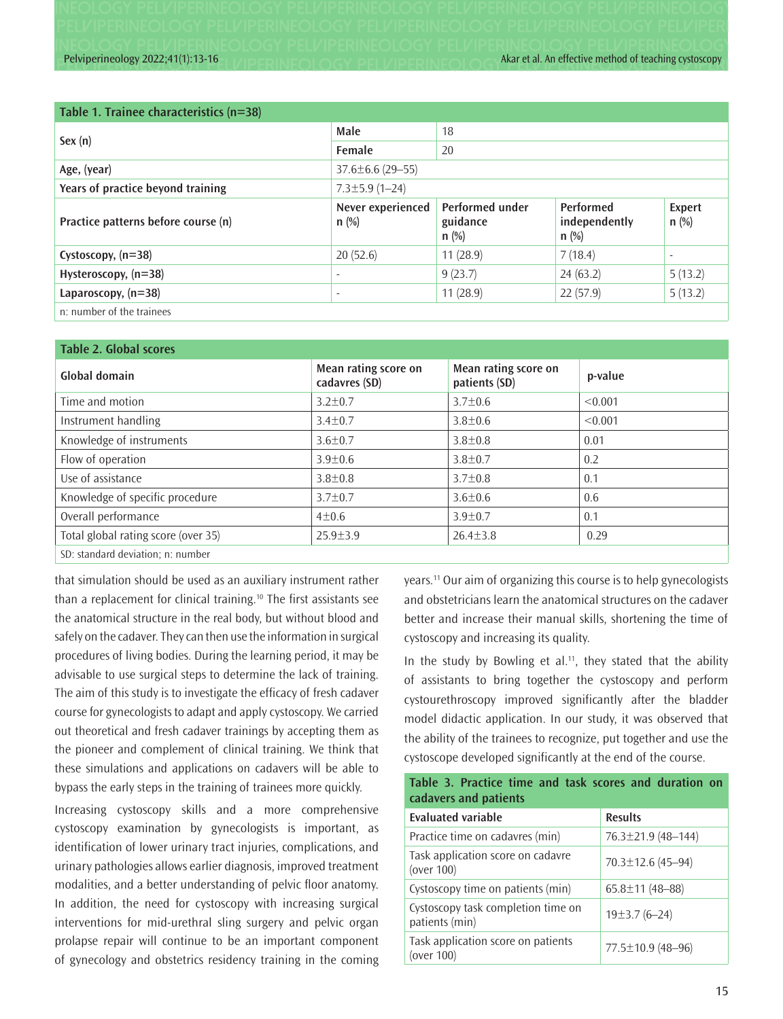Pelviperineology 2022;41(1):13-16 A LANDED IN EQUACY DELIZIDED IN EQUACY A **Kar et al. An effective method of teaching cystoscopy** 

| Table 1. Trainee characteristics (n=38) |                              |                                               |                                       |                          |  |  |
|-----------------------------------------|------------------------------|-----------------------------------------------|---------------------------------------|--------------------------|--|--|
| Sex (n)                                 | Male                         | 18                                            |                                       |                          |  |  |
|                                         | Female                       | 20                                            |                                       |                          |  |  |
| Age, (year)                             | $37.6 \pm 6.6$ (29-55)       |                                               |                                       |                          |  |  |
| Years of practice beyond training       | $7.3 \pm 5.9$ (1-24)         |                                               |                                       |                          |  |  |
| Practice patterns before course (n)     | Never experienced<br>$n$ (%) | <b>Performed under</b><br>guidance<br>$n$ (%) | Performed<br>independently<br>$n$ (%) | <b>Expert</b><br>$n$ (%) |  |  |
| Cystoscopy, $(n=38)$                    | 20(52.6)                     | 11(28.9)                                      | 7(18.4)                               | $\overline{\phantom{a}}$ |  |  |
| Hysteroscopy, (n=38)                    | ٠                            | 9(23.7)                                       | 24(63.2)                              | 5(13.2)                  |  |  |
| Laparoscopy, $(n=38)$                   | $\overline{\phantom{a}}$     | 11(28.9)                                      | 22(57.9)                              | 5(13.2)                  |  |  |
| n: number of the trainees               |                              |                                               |                                       |                          |  |  |

| <b>Table 2. Global scores</b>       |                                       |                                       |         |  |  |
|-------------------------------------|---------------------------------------|---------------------------------------|---------|--|--|
| Global domain                       | Mean rating score on<br>cadavres (SD) | Mean rating score on<br>patients (SD) | p-value |  |  |
| Time and motion                     | $3.2 \pm 0.7$                         | $3.7 \pm 0.6$                         | < 0.001 |  |  |
| Instrument handling                 | $3.4 \pm 0.7$                         | $3.8 \pm 0.6$                         | < 0.001 |  |  |
| Knowledge of instruments            | $3.6 \pm 0.7$                         | $3.8 \pm 0.8$                         | 0.01    |  |  |
| Flow of operation                   | $3.9 \pm 0.6$                         | $3.8 \pm 0.7$                         | 0.2     |  |  |
| Use of assistance                   | $3.8 \pm 0.8$                         | $3.7 \pm 0.8$                         | 0.1     |  |  |
| Knowledge of specific procedure     | $3.7 \pm 0.7$                         | $3.6 \pm 0.6$                         | 0.6     |  |  |
| Overall performance                 | $4 \pm 0.6$                           | $3.9 + 0.7$                           | 0.1     |  |  |
| Total global rating score (over 35) | $25.9 + 3.9$                          | $26.4 \pm 3.8$                        | 0.29    |  |  |
| SD: standard deviation; n: number   |                                       |                                       |         |  |  |

that simulation should be used as an auxiliary instrument rather than a replacement for clinical training.<sup>10</sup> The first assistants see the anatomical structure in the real body, but without blood and safely on the cadaver. They can then use the information in surgical procedures of living bodies. During the learning period, it may be advisable to use surgical steps to determine the lack of training. The aim of this study is to investigate the efficacy of fresh cadaver course for gynecologists to adapt and apply cystoscopy. We carried out theoretical and fresh cadaver trainings by accepting them as the pioneer and complement of clinical training. We think that these simulations and applications on cadavers will be able to bypass the early steps in the training of trainees more quickly.

Increasing cystoscopy skills and a more comprehensive cystoscopy examination by gynecologists is important, as identification of lower urinary tract injuries, complications, and urinary pathologies allows earlier diagnosis, improved treatment modalities, and a better understanding of pelvic floor anatomy. In addition, the need for cystoscopy with increasing surgical interventions for mid-urethral sling surgery and pelvic organ prolapse repair will continue to be an important component of gynecology and obstetrics residency training in the coming years.11 Our aim of organizing this course is to help gynecologists and obstetricians learn the anatomical structures on the cadaver better and increase their manual skills, shortening the time of cystoscopy and increasing its quality.

In the study by Bowling et al.<sup>11</sup>, they stated that the ability of assistants to bring together the cystoscopy and perform cystourethroscopy improved significantly after the bladder model didactic application. In our study, it was observed that the ability of the trainees to recognize, put together and use the cystoscope developed significantly at the end of the course.

**Table 3. Practice time and task scores and duration on** 

| cadavers and patients                                |                         |  |  |  |
|------------------------------------------------------|-------------------------|--|--|--|
| <b>Evaluated variable</b>                            | <b>Results</b>          |  |  |  |
| Practice time on cadavres (min)                      | 76.3±21.9 (48–144)      |  |  |  |
| Task application score on cadavre<br>(over $100$ )   | $70.3 \pm 12.6$ (45-94) |  |  |  |
| Cystoscopy time on patients (min)                    | $65.8 \pm 11 (48 - 88)$ |  |  |  |
| Cystoscopy task completion time on<br>patients (min) | $19±3.7(6-24)$          |  |  |  |
| Task application score on patients<br>(over 100)     | 77.5±10.9 (48-96)       |  |  |  |